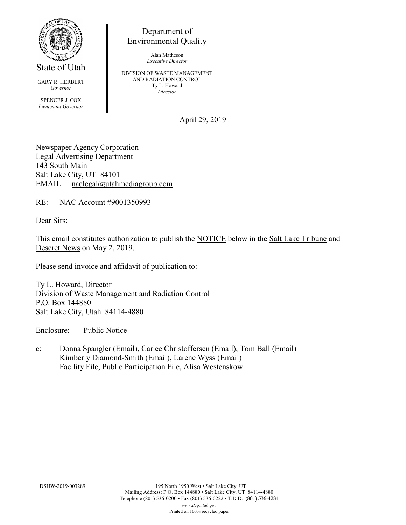

State of Utah

GARY R. HERBERT *Governor* SPENCER J. COX *Lieutenant Governor*

Department of Environmental Quality

> Alan Matheson *Executive Director*

DIVISION OF WASTE MANAGEMENT AND RADIATION CONTROL Ty L. Howard *Director*

April 29, 2019

Newspaper Agency Corporation Legal Advertising Department 143 South Main Salt Lake City, UT 84101 EMAIL: naclegal@utahmediagroup.com

RE: NAC Account #9001350993

Dear Sirs:

This email constitutes authorization to publish the NOTICE below in the Salt Lake Tribune and Deseret News on May 2, 2019.

Please send invoice and affidavit of publication to:

Ty L. Howard, Director Division of Waste Management and Radiation Control P.O. Box 144880 Salt Lake City, Utah 84114-4880

Enclosure: Public Notice

c: Donna Spangler (Email), Carlee Christoffersen (Email), Tom Ball (Email) Kimberly Diamond-Smith (Email), Larene Wyss (Email) Facility File, Public Participation File, Alisa Westenskow